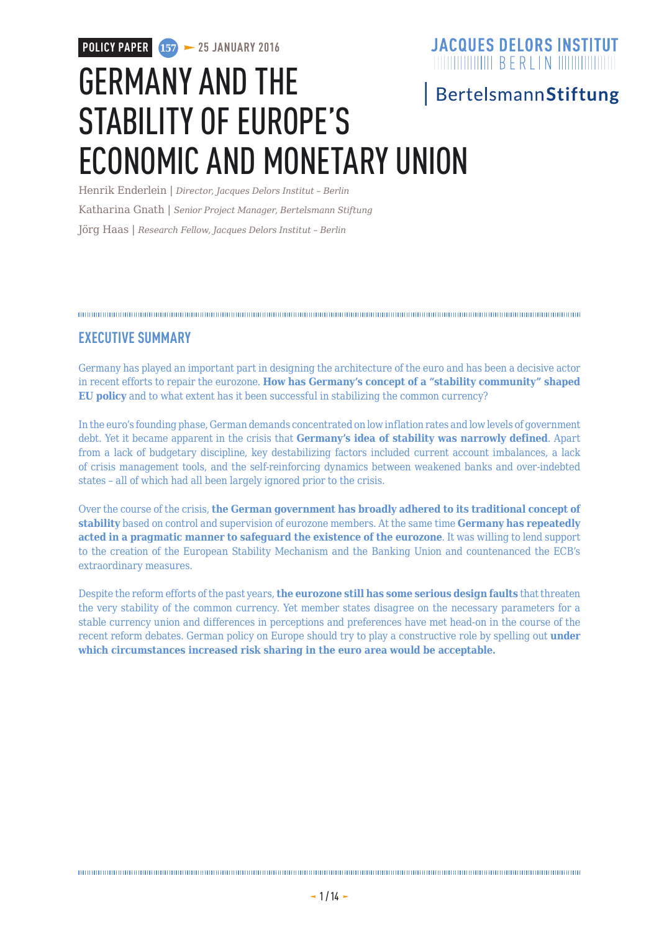## **JACQUES DELORS INSTITUT POLICY PAPER 157 25 JANUARY 2016**  $\frac{1}{2}$  The set of the set of the set of the set of the set of the set of the set of the set of the set of the set of the set of the set of the set of the set of the set of the set of the set of the set of the set of th GERMANY AND THE **BertelsmannStiftung** STABILITY OF EUROPE'S ECONOMIC AND MONETARY UNION

Henrik Enderlein | *Director, Jacques Delors Institut – Berlin* Katharina Gnath | *Senior Project Manager, Bertelsmann Stiftung* Jörg Haas | *Research Fellow, Jacques Delors Institut – Berlin*

### **EXECUTIVE SUMMARY**

Germany has played an important part in designing the architecture of the euro and has been a decisive actor in recent efforts to repair the eurozone. **How has Germany's concept of a "stability community" shaped EU policy** and to what extent has it been successful in stabilizing the common currency?

In the euro's founding phase, German demands concentrated on low inflation rates and low levels of government debt. Yet it became apparent in the crisis that **Germany's idea of stability was narrowly defined**. Apart from a lack of budgetary discipline, key destabilizing factors included current account imbalances, a lack of crisis management tools, and the self-reinforcing dynamics between weakened banks and over-indebted states – all of which had all been largely ignored prior to the crisis.

Over the course of the crisis, **the German government has broadly adhered to its traditional concept of stability** based on control and supervision of eurozone members. At the same time **Germany has repeatedly acted in a pragmatic manner to safeguard the existence of the eurozone**. It was willing to lend support to the creation of the European Stability Mechanism and the Banking Union and countenanced the ECB's extraordinary measures.

Despite the reform efforts of the past years, **the eurozone still has some serious design faults** that threaten the very stability of the common currency. Yet member states disagree on the necessary parameters for a stable currency union and differences in perceptions and preferences have met head-on in the course of the recent reform debates. German policy on Europe should try to play a constructive role by spelling out **under which circumstances increased risk sharing in the euro area would be acceptable.**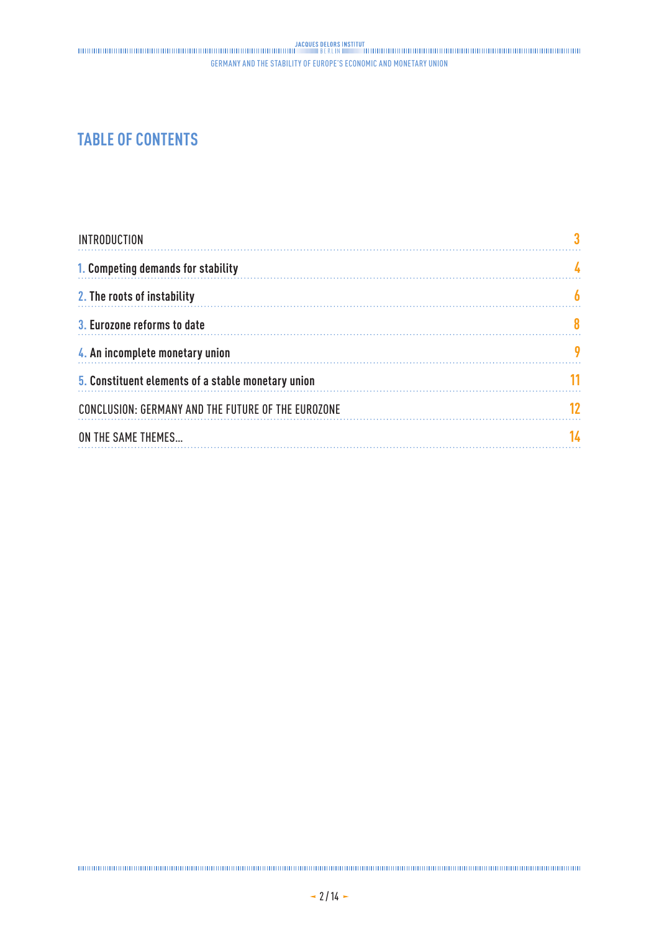## **TABLE OF CONTENTS**

| <b>INTRODUCTION</b>                                |  |
|----------------------------------------------------|--|
| 1. Competing demands for stability                 |  |
| 2. The roots of instability                        |  |
| 3. Eurozone reforms to date                        |  |
| 4. An incomplete monetary union                    |  |
| 5. Constituent elements of a stable monetary union |  |
| CONCLUSION: GERMANY AND THE FUTURE OF THE EUROZONE |  |
| ON THE SAME THEMES                                 |  |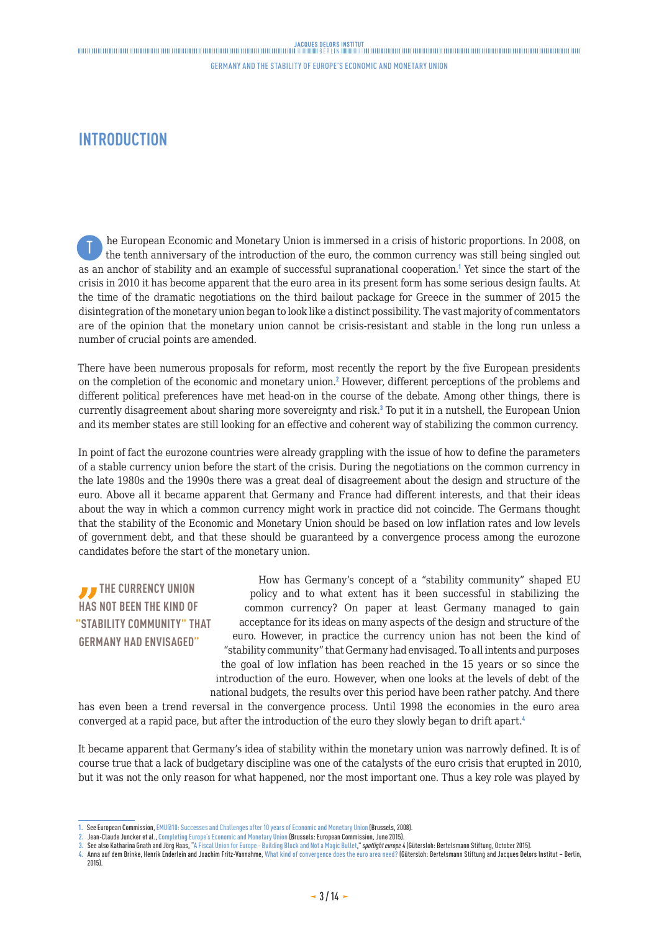### <span id="page-2-0"></span>**INTRODUCTION**

he European Economic and Monetary Union is immersed in a crisis of historic proportions. In 2008, on the tenth anniversary of the introduction of the euro, the common currency was still being singled out as an anchor of stability and an example of successful supranational cooperation.<sup>1</sup> Yet since the start of the crisis in 2010 it has become apparent that the euro area in its present form has some serious design faults. At the time of the dramatic negotiations on the third bailout package for Greece in the summer of 2015 the disintegration of the monetary union began to look like a distinct possibility. The vast majority of commentators are of the opinion that the monetary union cannot be crisis-resistant and stable in the long run unless a number of crucial points are amended. T

There have been numerous proposals for reform, most recently the report by the five European presidents on the completion of the economic and monetary union.<sup>2</sup> However, different perceptions of the problems and different political preferences have met head-on in the course of the debate. Among other things, there is currently disagreement about sharing more sovereignty and risk.<sup>3</sup> To put it in a nutshell, the European Union and its member states are still looking for an effective and coherent way of stabilizing the common currency.

In point of fact the eurozone countries were already grappling with the issue of how to define the parameters of a stable currency union before the start of the crisis. During the negotiations on the common currency in the late 1980s and the 1990s there was a great deal of disagreement about the design and structure of the euro. Above all it became apparent that Germany and France had different interests, and that their ideas about the way in which a common currency might work in practice did not coincide. The Germans thought that the stability of the Economic and Monetary Union should be based on low inflation rates and low levels of government debt, and that these should be guaranteed by a convergence process among the eurozone candidates before the start of the monetary union.

### **THE CURRENCY UNION HAS NOT BEEN THE KIND OF "STABILITY COMMUNITY" THAT GERMANY HAD ENVISAGED"**

How has Germany's concept of a "stability community" shaped EU policy and to what extent has it been successful in stabilizing the common currency? On paper at least Germany managed to gain acceptance for its ideas on many aspects of the design and structure of the euro. However, in practice the currency union has not been the kind of "stability community" that Germany had envisaged. To all intents and purposes the goal of low inflation has been reached in the 15 years or so since the introduction of the euro. However, when one looks at the levels of debt of the national budgets, the results over this period have been rather patchy. And there

has even been a trend reversal in the convergence process. Until 1998 the economies in the euro area converged at a rapid pace, but after the introduction of the euro they slowly began to drift apart.<sup>4</sup>

It became apparent that Germany's idea of stability within the monetary union was narrowly defined. It is of course true that a lack of budgetary discipline was one of the catalysts of the euro crisis that erupted in 2010, but it was not the only reason for what happened, nor the most important one. Thus a key role was played by

**3.** See also Katharina Gnath and Jörg Haas, ["A Fiscal Union for Europe - Building Block and Not a Magic Bullet,](https://www.bertelsmann-stiftung.de/de/publikationen/publikation/did/a-fiscal-union-for-europe-building-block-and-not-a-magic-bullet/)" *spotlight europe* 4 (Gütersloh: Bertelsmann Stiftung, October 2015).

**<sup>1.</sup>** See European Commission, [EMU@10: Successes and Challenges after 10 years of Economic and Monetary Union](http://ec.europa.eu/economy_finance/publications/publication12682_en.pdf)(Brussels, 2008).

Jean-Claude Juncker et al., [Completing Europe's Economic and Monetary Union](http://ec.europa.eu/priorities/economic-monetary-union/docs/5-presidents-report_en.pdf) (Brussels: European Commission, June 2015).

**<sup>4.</sup>** Anna auf dem Brinke, Henrik Enderlein and Joachim Fritz-Vannahme, [What kind of convergence does the euro area need?](https://www.strengthentheeuro.eu/en/homepage/publications/publication/did/what-kind-of-convergence-does-the-euro-area-need/) (Gütersloh: Bertelsmann Stiftung and Jacques Delors Institut – Berlin, 2015).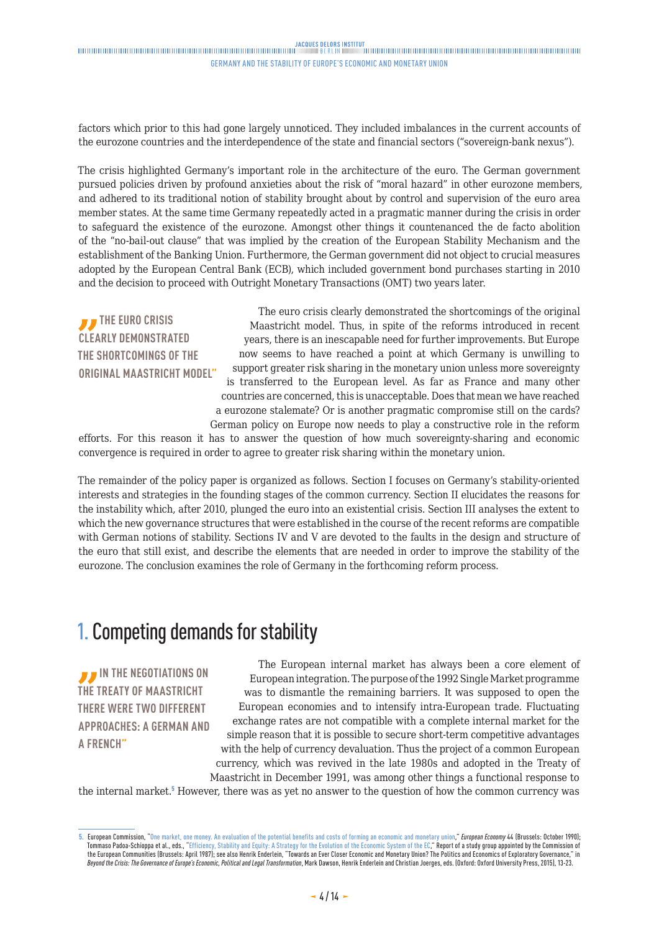<span id="page-3-0"></span>factors which prior to this had gone largely unnoticed. They included imbalances in the current accounts of the eurozone countries and the interdependence of the state and financial sectors ("sovereign-bank nexus").

The crisis highlighted Germany's important role in the architecture of the euro. The German government pursued policies driven by profound anxieties about the risk of "moral hazard" in other eurozone members, and adhered to its traditional notion of stability brought about by control and supervision of the euro area member states. At the same time Germany repeatedly acted in a pragmatic manner during the crisis in order to safeguard the existence of the eurozone. Amongst other things it countenanced the de facto abolition of the "no-bail-out clause" that was implied by the creation of the European Stability Mechanism and the establishment of the Banking Union. Furthermore, the German government did not object to crucial measures adopted by the European Central Bank (ECB), which included government bond purchases starting in 2010 and the decision to proceed with Outright Monetary Transactions (OMT) two years later.

*J* THE EURO CRISIS **CLEARLY DEMONSTRATED THE SHORTCOMINGS OF THE ORIGINAL MAASTRICHT MODEL"**

The euro crisis clearly demonstrated the shortcomings of the original Maastricht model. Thus, in spite of the reforms introduced in recent years, there is an inescapable need for further improvements. But Europe now seems to have reached a point at which Germany is unwilling to support greater risk sharing in the monetary union unless more sovereignty is transferred to the European level. As far as France and many other countries are concerned, this is unacceptable. Does that mean we have reached a eurozone stalemate? Or is another pragmatic compromise still on the cards? German policy on Europe now needs to play a constructive role in the reform

efforts. For this reason it has to answer the question of how much sovereignty-sharing and economic convergence is required in order to agree to greater risk sharing within the monetary union.

The remainder of the policy paper is organized as follows. Section I focuses on Germany's stability-oriented interests and strategies in the founding stages of the common currency. Section II elucidates the reasons for the instability which, after 2010, plunged the euro into an existential crisis. Section III analyses the extent to which the new governance structures that were established in the course of the recent reforms are compatible with German notions of stability. Sections IV and V are devoted to the faults in the design and structure of the euro that still exist, and describe the elements that are needed in order to improve the stability of the eurozone. The conclusion examines the role of Germany in the forthcoming reform process.

# 1. Competing demands for stability

*I* IN THE NEGOTIATIONS ON **THE TREATY OF MAASTRICHT THERE WERE TWO DIFFERENT APPROACHES: A GERMAN AND A FRENCH"**

The European internal market has always been a core element of European integration. The purpose of the 1992 Single Market programme was to dismantle the remaining barriers. It was supposed to open the European economies and to intensify intra-European trade. Fluctuating exchange rates are not compatible with a complete internal market for the simple reason that it is possible to secure short-term competitive advantages with the help of currency devaluation. Thus the project of a common European currency, which was revived in the late 1980s and adopted in the Treaty of

Maastricht in December 1991, was among other things a functional response to the internal market.<sup>5</sup> However, there was as yet no answer to the question of how the common currency was

**<sup>5.</sup>** European Commission, "[One market, one money. An evaluation of the potential benefits and costs of forming an economic and monetary union](http://ec.europa.eu/economy_finance/publications/publication7454_en.pdf)," *European Economy* 44 (Brussels: October 1990); Tommaso Padoa-Schioppa et al., eds., "[Efficiency, Stability and Equity: A Strategy for the Evolution of the Economic System of the EC,](http://ec.europa.eu/archives/emu_history/documentation/chapter12/19870410en149efficiencstabil_a.pdf)" Report of a study group appointed by the Commission of the European Communities (Brussels: April 1987); see also Henrik Enderlein, "Towards an Ever Closer Economic and Monetary Union? The Politics and Economics of Exploratory Governance," in *Beyond the Crisis: The Governance of Europe's Economic, Political and Legal Transformation*, Mark Dawson, Henrik Enderlein and Christian Joerges, eds. (Oxford: Oxford University Press, 2015), 13-23.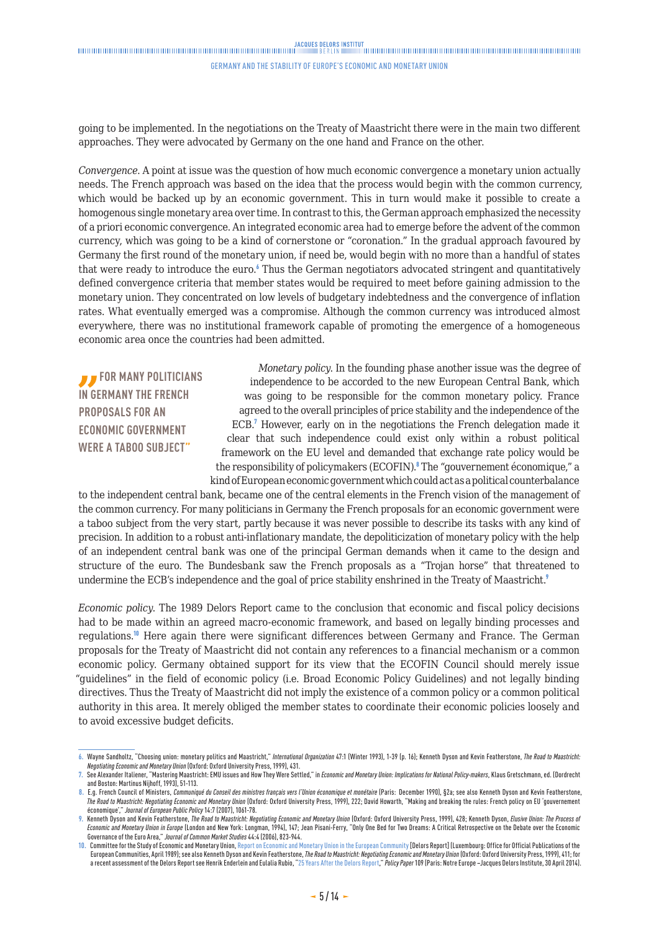### 

#### Germany and the stability of Europe's Economic and Monetary Union

going to be implemented. In the negotiations on the Treaty of Maastricht there were in the main two different approaches. They were advocated by Germany on the one hand and France on the other.

*Convergence*. A point at issue was the question of how much economic convergence a monetary union actually needs. The French approach was based on the idea that the process would begin with the common currency, which would be backed up by an economic government. This in turn would make it possible to create a homogenous single monetary area over time. In contrast to this, the German approach emphasized the necessity of a priori economic convergence. An integrated economic area had to emerge before the advent of the common currency, which was going to be a kind of cornerstone or "coronation." In the gradual approach favoured by Germany the first round of the monetary union, if need be, would begin with no more than a handful of states that were ready to introduce the euro.<sup>6</sup> Thus the German negotiators advocated stringent and quantitatively defined convergence criteria that member states would be required to meet before gaining admission to the monetary union. They concentrated on low levels of budgetary indebtedness and the convergence of inflation rates. What eventually emerged was a compromise. Although the common currency was introduced almost everywhere, there was no institutional framework capable of promoting the emergence of a homogeneous economic area once the countries had been admitted.

*B* FOR MANY POLITICIANS **IN GERMANY THE FRENCH PROPOSALS FOR AN ECONOMIC GOVERNMENT WERE A TABOO SUBJECT"**

*Monetary policy*. In the founding phase another issue was the degree of independence to be accorded to the new European Central Bank, which was going to be responsible for the common monetary policy. France agreed to the overall principles of price stability and the independence of the ECB.<sup>7</sup> However, early on in the negotiations the French delegation made it clear that such independence could exist only within a robust political framework on the EU level and demanded that exchange rate policy would be the responsibility of policymakers (ECOFIN).<sup>8</sup> The "gouvernement économique," a kind of European economic government which could act as a political counterbalance

to the independent central bank, became one of the central elements in the French vision of the management of the common currency. For many politicians in Germany the French proposals for an economic government were a taboo subject from the very start, partly because it was never possible to describe its tasks with any kind of precision. In addition to a robust anti-inflationary mandate, the depoliticization of monetary policy with the help of an independent central bank was one of the principal German demands when it came to the design and structure of the euro. The Bundesbank saw the French proposals as a "Trojan horse" that threatened to undermine the ECB's independence and the goal of price stability enshrined in the Treaty of Maastricht.<sup>9</sup>

*Economic policy*. The 1989 Delors Report came to the conclusion that economic and fiscal policy decisions had to be made within an agreed macro-economic framework, and based on legally binding processes and regulations.<sup>10</sup> Here again there were significant differences between Germany and France. The German proposals for the Treaty of Maastricht did not contain any references to a financial mechanism or a common economic policy. Germany obtained support for its view that the ECOFIN Council should merely issue "guidelines" in the field of economic policy (i.e. Broad Economic Policy Guidelines) and not legally binding directives. Thus the Treaty of Maastricht did not imply the existence of a common policy or a common political authority in this area. It merely obliged the member states to coordinate their economic policies loosely and to avoid excessive budget deficits.

**<sup>6.</sup>** Wayne Sandholtz, "Choosing union: monetary politics and Maastricht," *International Organization* 47:1 (Winter 1993), 1-39 (p. 16); Kenneth Dyson and Kevin Featherstone, *The Road to Maastricht: Negotiating Economic and Monetary Union* (Oxford: Oxford University Press, 1999), 431.

**<sup>7.</sup>** See Alexander Italiener, "Mastering Maastricht: EMU issues and How They Were Settled," in *Economic and Monetary Union: Implications for National Policy-makers*, Klaus Gretschmann, ed. (Dordrecht and Boston: Martinus Nijhoff, 1993), 51-113.

<sup>8.</sup> E.g. French Council of Ministers, Communiqué du Conseil des ministres français vers l'Union économique et monétaire (Paris: December 1990), §2a; see also Kenneth Dyson and Kevin Featherstone, *The Road to Maastricht: Negotiating Economic and Monetary Union* (Oxford: Oxford University Press, 1999), 222; David Howarth, "Making and breaking the rules: French policy on EU 'gouvernement économique'," *Journal of European Public Policy* 14:7 (2007), 1061-78.

**<sup>9.</sup>** Kenneth Dyson and Kevin Featherstone, *The Road to Maastricht: Negotiating Economic and Monetary Union* (Oxford: Oxford University Press, 1999), 428; Kenneth Dyson, *Elusive Union: The Process of Economic and Monetary Union in Europe* (London and New York: Longman, 1994), 147; Jean Pisani-Ferry, "Only One Bed for Two Dreams: A Critical Retrospective on the Debate over the Economic Governance of the Euro Area," *Journal of Common Market Studies* 44:4 (2006), 823-944.

<sup>10.</sup> Committee for the Study of Economic and Monetary Union, [Report on Economic and Monetary Union in the European Community](http://ec.europa.eu/economy_finance/publications/publication6161_en.pdf) [Delors Report] (Luxembourg: Office for Official Publications of the European Communities, April 1989); see also Kenneth Dyson and Kevin Featherstone, *The Road to Maastricht: Negotiating Economic and Monetary Union* (Oxford: Oxford University Press, 1999), 411; for a recent assessment of the Delors Report see Henrik Enderlein and Eulalia Rubio, "[25 Years After the Delors Report,](http://www.institutdelors.eu/media/25yearsdelorsreport-enderlein-rubio-ne-jdi-apr14.pdf?pdf=ok.)" *Policy Paper* 109 (Paris: Notre Europe –Jacques Delors Institute, 30 April 2014).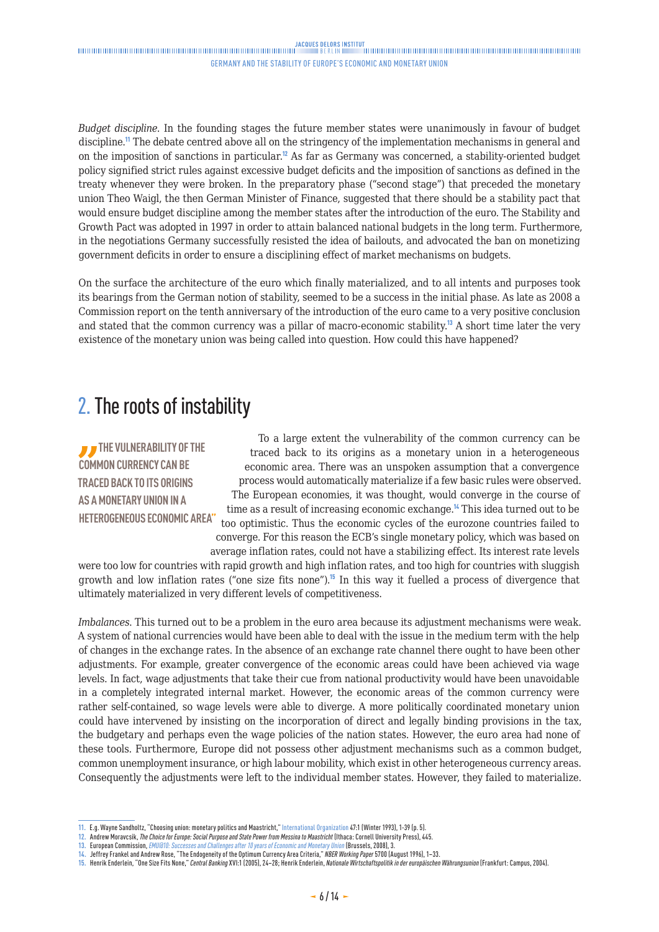<span id="page-5-0"></span>*Budget discipline*. In the founding stages the future member states were unanimously in favour of budget discipline.<sup>11</sup> The debate centred above all on the stringency of the implementation mechanisms in general and on the imposition of sanctions in particular.<sup>12</sup> As far as Germany was concerned, a stability-oriented budget policy signified strict rules against excessive budget deficits and the imposition of sanctions as defined in the treaty whenever they were broken. In the preparatory phase ("second stage") that preceded the monetary union Theo Waigl, the then German Minister of Finance, suggested that there should be a stability pact that would ensure budget discipline among the member states after the introduction of the euro. The Stability and Growth Pact was adopted in 1997 in order to attain balanced national budgets in the long term. Furthermore, in the negotiations Germany successfully resisted the idea of bailouts, and advocated the ban on monetizing government deficits in order to ensure a disciplining effect of market mechanisms on budgets.

On the surface the architecture of the euro which finally materialized, and to all intents and purposes took its bearings from the German notion of stability, seemed to be a success in the initial phase. As late as 2008 a Commission report on the tenth anniversary of the introduction of the euro came to a very positive conclusion and stated that the common currency was a pillar of macro-economic stability.<sup>13</sup> A short time later the very existence of the monetary union was being called into question. How could this have happened?

# 2. The roots of instability

**THE VULNERABILITY OF THE COMMON CURRENCY CAN BE TRACED BACK TO ITS ORIGINS AS A MONETARY UNION IN A HETEROGENEOUS ECONOMIC AREA"**

To a large extent the vulnerability of the common currency can be traced back to its origins as a monetary union in a heterogeneous economic area. There was an unspoken assumption that a convergence process would automatically materialize if a few basic rules were observed. The European economies, it was thought, would converge in the course of time as a result of increasing economic exchange.<sup>14</sup> This idea turned out to be too optimistic. Thus the economic cycles of the eurozone countries failed to converge. For this reason the ECB's single monetary policy, which was based on average inflation rates, could not have a stabilizing effect. Its interest rate levels

were too low for countries with rapid growth and high inflation rates, and too high for countries with sluggish growth and low inflation rates ("one size fits none").<sup>15</sup> In this way it fuelled a process of divergence that ultimately materialized in very different levels of competitiveness.

*Imbalances*. This turned out to be a problem in the euro area because its adjustment mechanisms were weak. A system of national currencies would have been able to deal with the issue in the medium term with the help of changes in the exchange rates. In the absence of an exchange rate channel there ought to have been other adjustments. For example, greater convergence of the economic areas could have been achieved via wage levels. In fact, wage adjustments that take their cue from national productivity would have been unavoidable in a completely integrated internal market. However, the economic areas of the common currency were rather self-contained, so wage levels were able to diverge. A more politically coordinated monetary union could have intervened by insisting on the incorporation of direct and legally binding provisions in the tax, the budgetary and perhaps even the wage policies of the nation states. However, the euro area had none of these tools. Furthermore, Europe did not possess other adjustment mechanisms such as a common budget, common unemployment insurance, or high labour mobility, which exist in other heterogeneous currency areas. Consequently the adjustments were left to the individual member states. However, they failed to materialize.

**12.** Andrew Moravcsik, *The Choice for Europe: Social Purpose and State Power from Messina to Maastricht* (Ithaca: Cornell University Press), 445.

**<sup>11.</sup>** E.g. Wayne Sandholtz, "Choosing union: monetary politics and Maastricht," International Organization 47:1 (Winter 1993), 1-39 (p. 5).

**<sup>13.</sup>** European Commission, *[EMU@10: Successes and Challenges after 10 years of Economic and Monetary Union](http://ec.europa.eu/economy_finance/publications/publication12682_en.pdf.)* (Brussels, 2008), 3.

**<sup>14.</sup>** Jeffrey Frankel and Andrew Rose, "The Endogeneity of the Optimum Currency Area Criteria," *NBER Working Paper* 5700 (August 1996), 1–33.

**<sup>15.</sup>** Henrik Enderlein, "One Size Fits None," *Central Banking* XVI:1 (2005), 24–28; Henrik Enderlein, *Nationale Wirtschaftspolitik in der europäischen Währungsunion* (Frankfurt: Campus, 2004).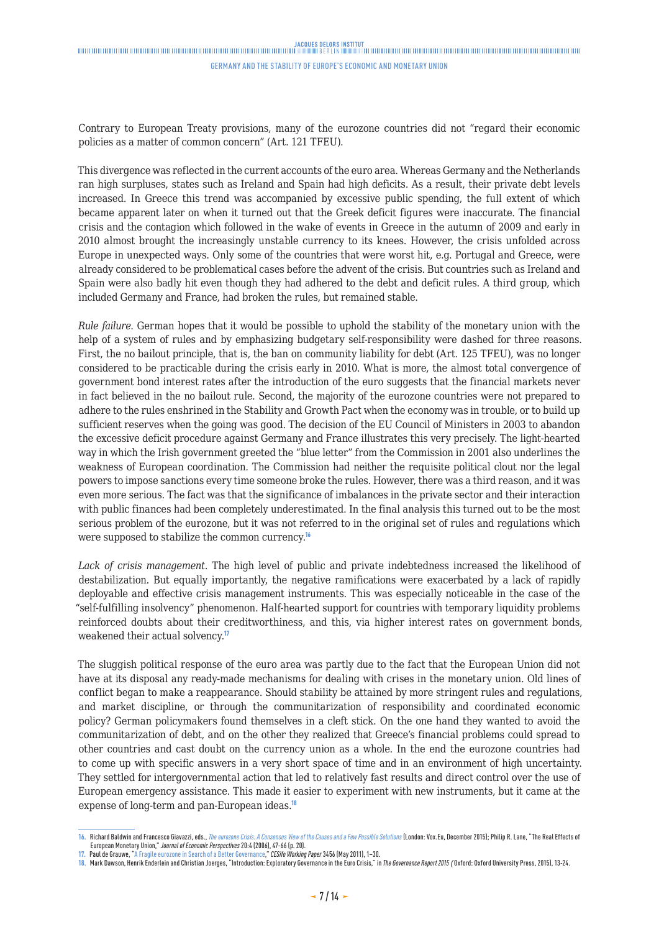### JACOUES DELORS INSTITUT<br>Thinkinghandinghandinghandinghandinghandinghandinghanding and the property of the property of the state of the

#### Germany and the stability of Europe's Economic and Monetary Union

Contrary to European Treaty provisions, many of the eurozone countries did not "regard their economic policies as a matter of common concern" (Art. 121 TFEU).

This divergence was reflected in the current accounts of the euro area. Whereas Germany and the Netherlands ran high surpluses, states such as Ireland and Spain had high deficits. As a result, their private debt levels increased. In Greece this trend was accompanied by excessive public spending, the full extent of which became apparent later on when it turned out that the Greek deficit figures were inaccurate. The financial crisis and the contagion which followed in the wake of events in Greece in the autumn of 2009 and early in 2010 almost brought the increasingly unstable currency to its knees. However, the crisis unfolded across Europe in unexpected ways. Only some of the countries that were worst hit, e.g. Portugal and Greece, were already considered to be problematical cases before the advent of the crisis. But countries such as Ireland and Spain were also badly hit even though they had adhered to the debt and deficit rules. A third group, which included Germany and France, had broken the rules, but remained stable.

*Rule failure*. German hopes that it would be possible to uphold the stability of the monetary union with the help of a system of rules and by emphasizing budgetary self-responsibility were dashed for three reasons. First, the no bailout principle, that is, the ban on community liability for debt (Art. 125 TFEU), was no longer considered to be practicable during the crisis early in 2010. What is more, the almost total convergence of government bond interest rates after the introduction of the euro suggests that the financial markets never in fact believed in the no bailout rule. Second, the majority of the eurozone countries were not prepared to adhere to the rules enshrined in the Stability and Growth Pact when the economy was in trouble, or to build up sufficient reserves when the going was good. The decision of the EU Council of Ministers in 2003 to abandon the excessive deficit procedure against Germany and France illustrates this very precisely. The light-hearted way in which the Irish government greeted the "blue letter" from the Commission in 2001 also underlines the weakness of European coordination. The Commission had neither the requisite political clout nor the legal powers to impose sanctions every time someone broke the rules. However, there was a third reason, and it was even more serious. The fact was that the significance of imbalances in the private sector and their interaction with public finances had been completely underestimated. In the final analysis this turned out to be the most serious problem of the eurozone, but it was not referred to in the original set of rules and regulations which were supposed to stabilize the common currency.<sup>16</sup>

*Lack of crisis management*. The high level of public and private indebtedness increased the likelihood of destabilization. But equally importantly, the negative ramifications were exacerbated by a lack of rapidly deployable and effective crisis management instruments. This was especially noticeable in the case of the "self-fulfilling insolvency" phenomenon. Half-hearted support for countries with temporary liquidity problems reinforced doubts about their creditworthiness, and this, via higher interest rates on government bonds, weakened their actual solvency.<sup>17</sup>

The sluggish political response of the euro area was partly due to the fact that the European Union did not have at its disposal any ready-made mechanisms for dealing with crises in the monetary union. Old lines of conflict began to make a reappearance. Should stability be attained by more stringent rules and regulations, and market discipline, or through the communitarization of responsibility and coordinated economic policy? German policymakers found themselves in a cleft stick. On the one hand they wanted to avoid the communitarization of debt, and on the other they realized that Greece's financial problems could spread to other countries and cast doubt on the currency union as a whole. In the end the eurozone countries had to come up with specific answers in a very short space of time and in an environment of high uncertainty. They settled for intergovernmental action that led to relatively fast results and direct control over the use of European emergency assistance. This made it easier to experiment with new instruments, but it came at the expense of long-term and pan-European ideas.<sup>18</sup>

**<sup>16.</sup>** Richard Baldwin and Francesco Giavazzi, eds., *[The eurozone Crisis. A Consensus View of the Causes and a Few Possible Solutions](http://www.voxeu.org/sites/default/files/file/reboot_upload_0.pdf)* (London: Vox.Eu, December 2015); Philip R. Lane, "The Real Effects of European Monetary Union," *Journal of Economic Perspectives* 20:4 (2006), 47-66 (p. 20).

**<sup>17.</sup>** Paul de Grauwe, ["A Fragile eurozone in Search of a Better Governance,](http://www.cesifo-group.de/portal/page/portal/DocBase_Content/WP/WP-CESifo_Working_Papers/wp-cesifo-2011/wp-cesifo-2011-05/cesifo1_wp3456.pdf)" *CESifo Working Paper* 3456 (May 2011), 1–30.

**<sup>18.</sup>** Mark Dawson, Henrik Enderlein and Christian Joerges, "Introduction: Exploratory Governance in the Euro Crisis," in *The Governance Report 2015 (*Oxford: Oxford University Press, 2015), 13-24.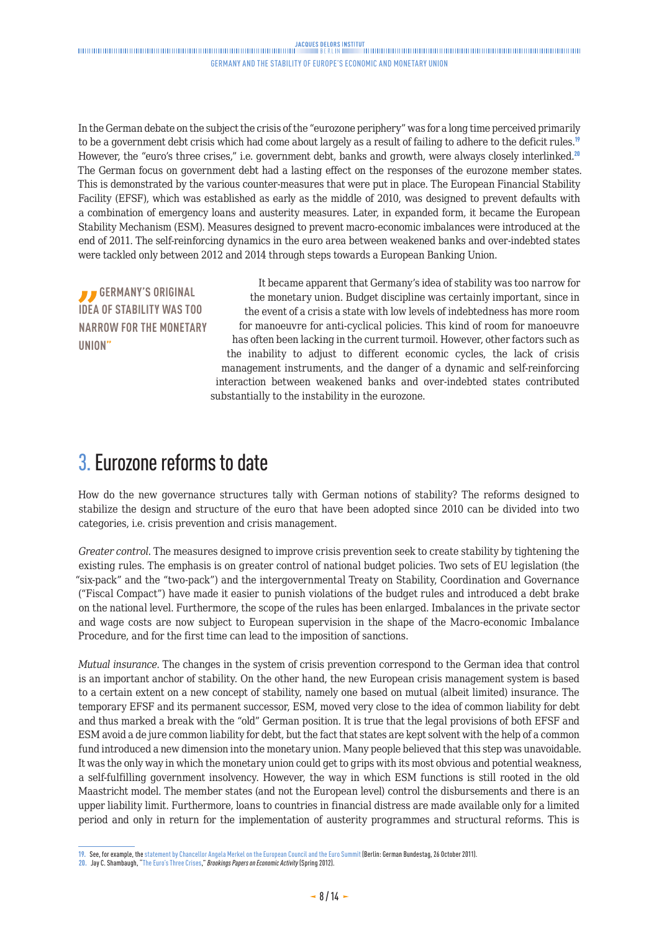<span id="page-7-0"></span>In the German debate on the subject the crisis of the "eurozone periphery" was for a long time perceived primarily to be a government debt crisis which had come about largely as a result of failing to adhere to the deficit rules.<sup>19</sup> However, the "euro's three crises," i.e. government debt, banks and growth, were always closely interlinked.<sup>20</sup> The German focus on government debt had a lasting effect on the responses of the eurozone member states. This is demonstrated by the various counter-measures that were put in place. The European Financial Stability Facility (EFSF), which was established as early as the middle of 2010, was designed to prevent defaults with a combination of emergency loans and austerity measures. Later, in expanded form, it became the European Stability Mechanism (ESM). Measures designed to prevent macro-economic imbalances were introduced at the end of 2011. The self-reinforcing dynamics in the euro area between weakened banks and over-indebted states were tackled only between 2012 and 2014 through steps towards a European Banking Union.

*B* GERMANY'S ORIGINAL **IDEA OF STABILITY WAS TOO NARROW FOR THE MONETARY UNION"**

It became apparent that Germany's idea of stability was too narrow for the monetary union. Budget discipline was certainly important, since in the event of a crisis a state with low levels of indebtedness has more room for manoeuvre for anti-cyclical policies. This kind of room for manoeuvre has often been lacking in the current turmoil. However, other factors such as the inability to adjust to different economic cycles, the lack of crisis management instruments, and the danger of a dynamic and self-reinforcing interaction between weakened banks and over-indebted states contributed substantially to the instability in the eurozone.

# 3. Eurozone reforms to date

How do the new governance structures tally with German notions of stability? The reforms designed to stabilize the design and structure of the euro that have been adopted since 2010 can be divided into two categories, i.e. crisis prevention and crisis management.

*Greater control*. The measures designed to improve crisis prevention seek to create stability by tightening the existing rules. The emphasis is on greater control of national budget policies. Two sets of EU legislation (the "six-pack" and the "two-pack") and the intergovernmental Treaty on Stability, Coordination and Governance ("Fiscal Compact") have made it easier to punish violations of the budget rules and introduced a debt brake on the national level. Furthermore, the scope of the rules has been enlarged. Imbalances in the private sector and wage costs are now subject to European supervision in the shape of the Macro-economic Imbalance Procedure, and for the first time can lead to the imposition of sanctions.

*Mutual insurance*. The changes in the system of crisis prevention correspond to the German idea that control is an important anchor of stability. On the other hand, the new European crisis management system is based to a certain extent on a new concept of stability, namely one based on mutual (albeit limited) insurance. The temporary EFSF and its permanent successor, ESM, moved very close to the idea of common liability for debt and thus marked a break with the "old" German position. It is true that the legal provisions of both EFSF and ESM avoid a de jure common liability for debt, but the fact that states are kept solvent with the help of a common fund introduced a new dimension into the monetary union. Many people believed that this step was unavoidable. It was the only way in which the monetary union could get to grips with its most obvious and potential weakness, a self-fulfilling government insolvency. However, the way in which ESM functions is still rooted in the old Maastricht model. The member states (and not the European level) control the disbursements and there is an upper liability limit. Furthermore, loans to countries in financial distress are made available only for a limited period and only in return for the implementation of austerity programmes and structural reforms. This is

**<sup>19.</sup>** See, for example, the [statement by Chancellor Angela Merkel on the European Council and the Euro Summit](http://www.bundesregierung.de/ContentArchiv/DE/Archiv17/Regierungserklaerung/2011/2011-10-27-merkel-eu-gipfel.html) (Berlin: German Bundestag, 26 October 2011).

**<sup>20.</sup>** Jay C. Shambaugh, "[The Euro's Three Crises](http://www.brookings.edu/~/media/Projects/BPEA/Spring 2012/2012a_Shambaugh.pdf)," *Brookings Papers on Economic Activity* (Spring 2012).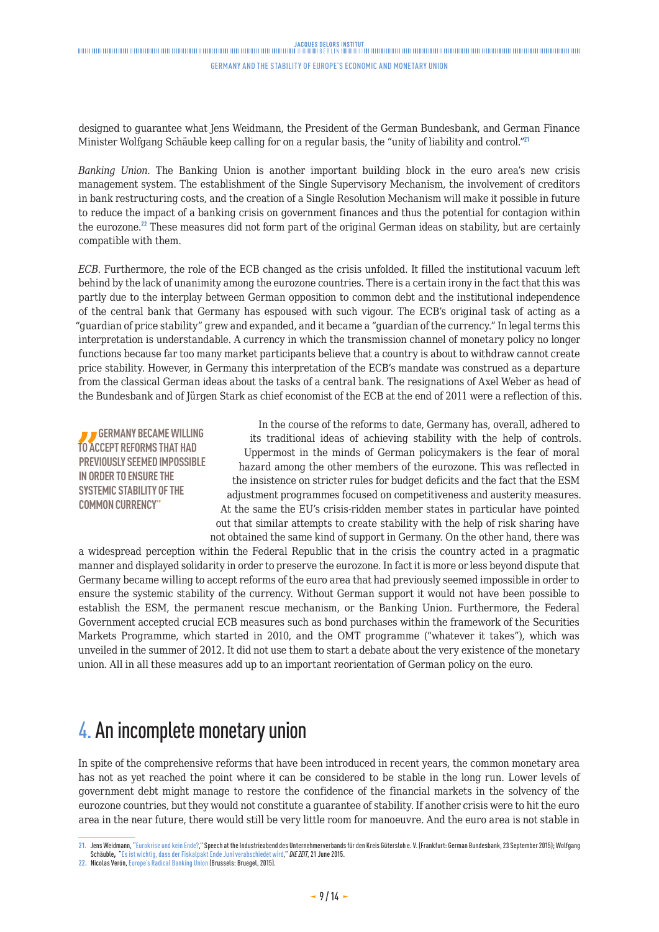### <span id="page-8-0"></span>JACOUES DELORS INSTITUT<br>Thinkinghandinghandinghandinghandinghandinghandinghanding and the property of the property of the state of the

#### Germany and the stability of Europe's Economic and Monetary Union

designed to guarantee what Jens Weidmann, the President of the German Bundesbank, and German Finance Minister Wolfgang Schäuble keep calling for on a regular basis, the "unity of liability and control."<sup>21</sup>

*Banking Union*. The Banking Union is another important building block in the euro area's new crisis management system. The establishment of the Single Supervisory Mechanism, the involvement of creditors in bank restructuring costs, and the creation of a Single Resolution Mechanism will make it possible in future to reduce the impact of a banking crisis on government finances and thus the potential for contagion within the eurozone.<sup>22</sup> These measures did not form part of the original German ideas on stability, but are certainly compatible with them.

*ECB*. Furthermore, the role of the ECB changed as the crisis unfolded. It filled the institutional vacuum left behind by the lack of unanimity among the eurozone countries. There is a certain irony in the fact that this was partly due to the interplay between German opposition to common debt and the institutional independence of the central bank that Germany has espoused with such vigour. The ECB's original task of acting as a "guardian of price stability" grew and expanded, and it became a "guardian of the currency." In legal terms this interpretation is understandable. A currency in which the transmission channel of monetary policy no longer functions because far too many market participants believe that a country is about to withdraw cannot create price stability. However, in Germany this interpretation of the ECB's mandate was construed as a departure from the classical German ideas about the tasks of a central bank. The resignations of Axel Weber as head of the Bundesbank and of Jürgen Stark as chief economist of the ECB at the end of 2011 were a reflection of this.

**GERMANY BECAME WILLING TO ACCEPT REFORMS THAT HAD PREVIOUSLY SEEMED IMPOSSIBLE IN ORDER TO ENSURE THE SYSTEMIC STABILITY OF THE COMMON CURRENCY"**

In the course of the reforms to date, Germany has, overall, adhered to its traditional ideas of achieving stability with the help of controls. Uppermost in the minds of German policymakers is the fear of moral hazard among the other members of the eurozone. This was reflected in the insistence on stricter rules for budget deficits and the fact that the ESM adjustment programmes focused on competitiveness and austerity measures. At the same the EU's crisis-ridden member states in particular have pointed out that similar attempts to create stability with the help of risk sharing have not obtained the same kind of support in Germany. On the other hand, there was

a widespread perception within the Federal Republic that in the crisis the country acted in a pragmatic manner and displayed solidarity in order to preserve the eurozone. In fact it is more or less beyond dispute that Germany became willing to accept reforms of the euro area that had previously seemed impossible in order to ensure the systemic stability of the currency. Without German support it would not have been possible to establish the ESM, the permanent rescue mechanism, or the Banking Union. Furthermore, the Federal Government accepted crucial ECB measures such as bond purchases within the framework of the Securities Markets Programme, which started in 2010, and the OMT programme ("whatever it takes"), which was unveiled in the summer of 2012. It did not use them to start a debate about the very existence of the monetary union. All in all these measures add up to an important reorientation of German policy on the euro.

# 4. An incomplete monetary union

In spite of the comprehensive reforms that have been introduced in recent years, the common monetary area has not as yet reached the point where it can be considered to be stable in the long run. Lower levels of government debt might manage to restore the confidence of the financial markets in the solvency of the eurozone countries, but they would not constitute a guarantee of stability. If another crisis were to hit the euro area in the near future, there would still be very little room for manoeuvre. And the euro area is not stable in

**<sup>21.</sup>** Jens Weidmann, "[Eurokrise und kein Ende?,](http://www.bundesbank.de/Redaktion/DE/Reden/2015/2015_09_23_weidmann.html)" Speech at the Industrieabend des Unternehmerverbands für den Kreis Gütersloh e. V. (Frankfurt: German Bundesbank, 23 September 2015); Wolfgang Schäuble, "[Es ist wichtig, dass der Fiskalpakt Ende Juni verabschiedet wird](http://www.bundesregierung.de/ContentArchiv/DE/Archiv17/Interview/2012/06/2012-06-21-schaeuble-zeit.html)," *DIE ZEIT*, 21 June 2015.

**<sup>22.</sup>** Nicolas Verón, [Europe's Radical Banking Union](http://bruegel.org/wp-content/uploads/imported/publications/essay_NV_CMU.pdf) (Brussels: Bruegel, 2015).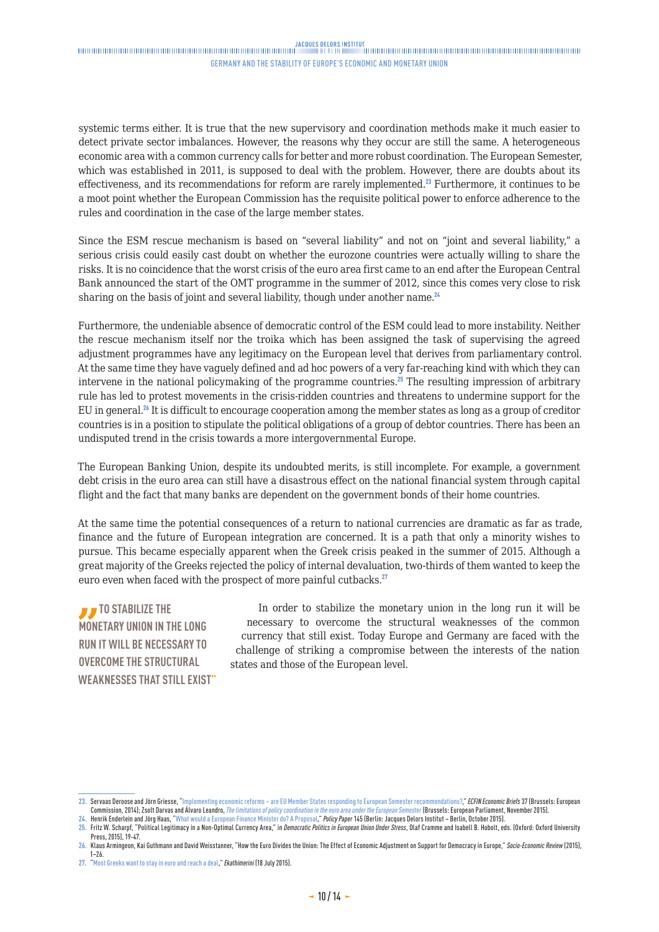systemic terms either. It is true that the new supervisory and coordination methods make it much easier to detect private sector imbalances. However, the reasons why they occur are still the same. A heterogeneous economic area with a common currency calls for better and more robust coordination. The European Semester, which was established in 2011, is supposed to deal with the problem. However, there are doubts about its effectiveness, and its recommendations for reform are rarely implemented.<sup>23</sup> Furthermore, it continues to be a moot point whether the European Commission has the requisite political power to enforce adherence to the rules and coordination in the case of the large member states.

Since the ESM rescue mechanism is based on "several liability" and not on "joint and several liability," a serious crisis could easily cast doubt on whether the eurozone countries were actually willing to share the risks. It is no coincidence that the worst crisis of the euro area first came to an end after the European Central Bank announced the start of the OMT programme in the summer of 2012, since this comes very close to risk sharing on the basis of joint and several liability, though under another name.<sup>24</sup>

Furthermore, the undeniable absence of democratic control of the ESM could lead to more instability. Neither the rescue mechanism itself nor the troika which has been assigned the task of supervising the agreed adjustment programmes have any legitimacy on the European level that derives from parliamentary control. At the same time they have vaguely defined and ad hoc powers of a very far-reaching kind with which they can intervene in the national policymaking of the programme countries.<sup>25</sup> The resulting impression of arbitrary rule has led to protest movements in the crisis-ridden countries and threatens to undermine support for the EU in general.<sup>26</sup> It is difficult to encourage cooperation among the member states as long as a group of creditor countries is in a position to stipulate the political obligations of a group of debtor countries. There has been an undisputed trend in the crisis towards a more intergovernmental Europe.

The European Banking Union, despite its undoubted merits, is still incomplete. For example, a government debt crisis in the euro area can still have a disastrous effect on the national financial system through capital flight and the fact that many banks are dependent on the government bonds of their home countries.

At the same time the potential consequences of a return to national currencies are dramatic as far as trade, finance and the future of European integration are concerned. It is a path that only a minority wishes to pursue. This became especially apparent when the Greek crisis peaked in the summer of 2015. Although a great majority of the Greeks rejected the policy of internal devaluation, two-thirds of them wanted to keep the euro even when faced with the prospect of more painful cutbacks.<sup>27</sup>

**TO STABILIZE THE MONETARY UNION IN THE LONG RUN IT WILL BE NECESSARY TO OVERCOME THE STRUCTURAL WEAKNESSES THAT STILL EXIST"**

In order to stabilize the monetary union in the long run it will be necessary to overcome the structural weaknesses of the common currency that still exist. Today Europe and Germany are faced with the challenge of striking a compromise between the interests of the nation states and those of the European level.

**<sup>23.</sup>** Servaas Deroose and Jörn Griesse, "[Implementing economic reforms – are EU Member States responding to European Semester recommendations?,](http://ec.europa.eu/economy_finance/publications/economic_briefs/2014/pdf/eb37_en.pdf)" *ECFIN Economic Briefs* 37 (Brussels: European Commission, 2014); Zsolt Darvas and Álvaro Leandro, *[The limitations of policy coordination in the euro area under the European Semester](http://bruegel.org/wp-content/uploads/2015/11/pc_2015_194.pdf) (*Brussels: European Parliament, November 2015).<br>24. Henrik Enderlein and Jörg Haas,

**<sup>25.</sup>** Fritz W. Scharpf, "Political Legitimacy in a Non-Optimal Currency Area," in *Democratic Politics in European Union Under Stress*, Olaf Cramme and Isabell B. Hobolt, eds. (Oxford: Oxford University Press, 2015), 19-47.

**<sup>26.</sup>** Klaus Armingeon, Kai Guthmann and David Weisstanner, "How the Euro Divides the Union: The Effect of Economic Adjustment on Support for Democracy in Europe," *Socio-Economic Review* (2015), 1–26.

**<sup>27.</sup>** ["Most Greeks want to stay in euro and reach a deal,](http://www.ekathimerini.com/199706/article/ekathimerini/news/most-greeks-want-to-stay-in-euro-and-reach-a-deal)" *Ekathimerini* (18 July 2015).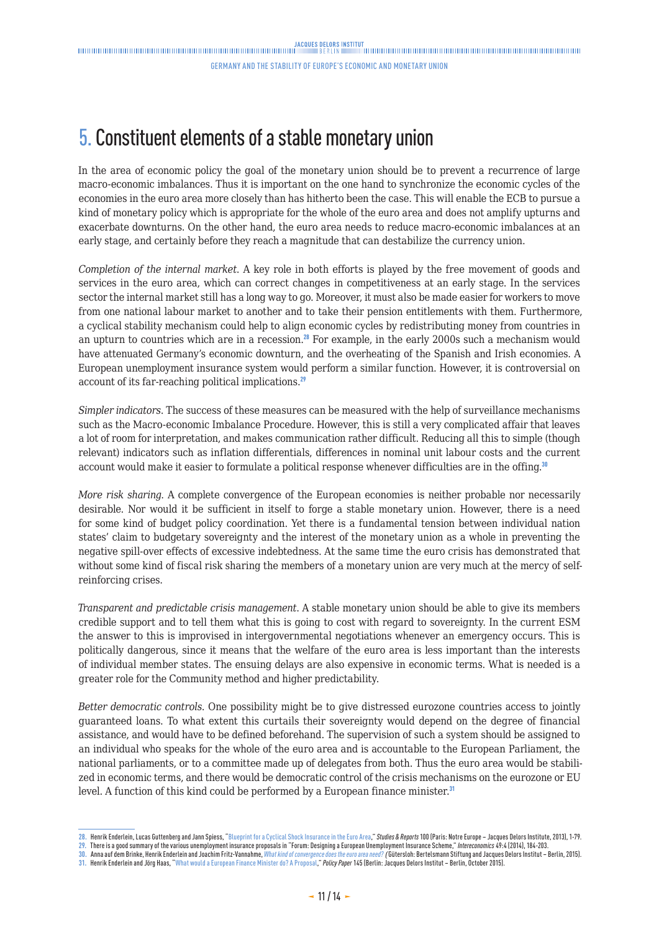# <span id="page-10-0"></span>5. Constituent elements of a stable monetary union

In the area of economic policy the goal of the monetary union should be to prevent a recurrence of large macro-economic imbalances. Thus it is important on the one hand to synchronize the economic cycles of the economies in the euro area more closely than has hitherto been the case. This will enable the ECB to pursue a kind of monetary policy which is appropriate for the whole of the euro area and does not amplify upturns and exacerbate downturns. On the other hand, the euro area needs to reduce macro-economic imbalances at an early stage, and certainly before they reach a magnitude that can destabilize the currency union.

*Completion of the internal market*. A key role in both efforts is played by the free movement of goods and services in the euro area, which can correct changes in competitiveness at an early stage. In the services sector the internal market still has a long way to go. Moreover, it must also be made easier for workers to move from one national labour market to another and to take their pension entitlements with them. Furthermore, a cyclical stability mechanism could help to align economic cycles by redistributing money from countries in an upturn to countries which are in a recession.<sup>28</sup> For example, in the early 2000s such a mechanism would have attenuated Germany's economic downturn, and the overheating of the Spanish and Irish economies. A European unemployment insurance system would perform a similar function. However, it is controversial on account of its far-reaching political implications.<sup>29</sup>

*Simpler indicators*. The success of these measures can be measured with the help of surveillance mechanisms such as the Macro-economic Imbalance Procedure. However, this is still a very complicated affair that leaves a lot of room for interpretation, and makes communication rather difficult. Reducing all this to simple (though relevant) indicators such as inflation differentials, differences in nominal unit labour costs and the current account would make it easier to formulate a political response whenever difficulties are in the offing.<sup>30</sup>

*More risk sharing*. A complete convergence of the European economies is neither probable nor necessarily desirable. Nor would it be sufficient in itself to forge a stable monetary union. However, there is a need for some kind of budget policy coordination. Yet there is a fundamental tension between individual nation states' claim to budgetary sovereignty and the interest of the monetary union as a whole in preventing the negative spill-over effects of excessive indebtedness. At the same time the euro crisis has demonstrated that without some kind of fiscal risk sharing the members of a monetary union are very much at the mercy of selfreinforcing crises.

*Transparent and predictable crisis management*. A stable monetary union should be able to give its members credible support and to tell them what this is going to cost with regard to sovereignty. In the current ESM the answer to this is improvised in intergovernmental negotiations whenever an emergency occurs. This is politically dangerous, since it means that the welfare of the euro area is less important than the interests of individual member states. The ensuing delays are also expensive in economic terms. What is needed is a greater role for the Community method and higher predictability.

*Better democratic controls*. One possibility might be to give distressed eurozone countries access to jointly guaranteed loans. To what extent this curtails their sovereignty would depend on the degree of financial assistance, and would have to be defined beforehand. The supervision of such a system should be assigned to an individual who speaks for the whole of the euro area and is accountable to the European Parliament, the national parliaments, or to a committee made up of delegates from both. Thus the euro area would be stabilized in economic terms, and there would be democratic control of the crisis mechanisms on the eurozone or EU level. A function of this kind could be performed by a European finance minister.<sup>31</sup>

**31.** Henrik Enderlein and Jörg Haas, "[What would a European Finance Minister do? A Proposal,](http://www.institutdelors.eu/media/ministrefinanceeuropeenjdi-ben.pdf?pdf=ok)" *Policy Paper* 145 (Berlin: Jacques Delors Institut – Berlin, October 2015).

**<sup>28.</sup>** Henrik Enderlein, Lucas Guttenberg and Jann Spiess, ["Blueprint for a Cyclical Shock Insurance in the Euro Area](http://www.institutdelors.eu/media/blueprintforacyclicalshockinsurancene-jdisept2013.pdf?pdf=ok)," *Studies & Reports* 100 (Paris: Notre Europe – Jacques Delors Institute, 2013), 1-79.

**<sup>29.</sup>** There is a good summary of the various unemployment insurance proposals in "Forum: Designing a European Unemployment Insurance Scheme," *Intereconomics* 49:4 (2014), 184-203.

**<sup>30.</sup>** Anna auf dem Brinke, Henrik Enderlein and Joachim Fritz-Vannahme, *[What kind of convergence does the euro area need?](https://www.strengthentheeuro.eu/en/homepage/publications/publication/did/what-kind-of-convergence-does-the-euro-area-need/) (*Gütersloh: Bertelsmann Stiftung and Jacques Delors Institut – Berlin, 2015).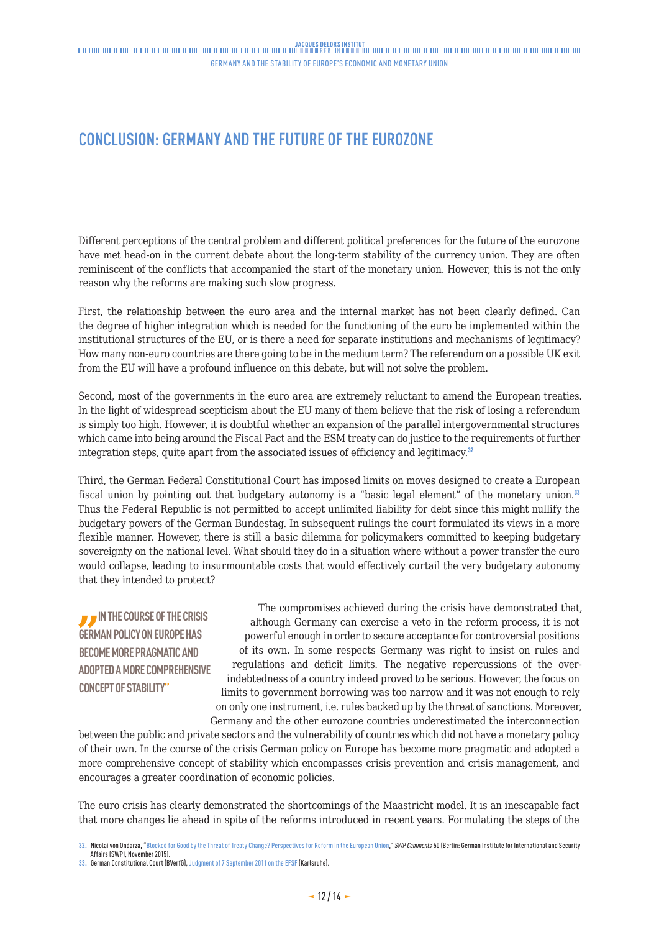## <span id="page-11-0"></span>**CONCLUSION: GERMANY AND THE FUTURE OF THE EUROZONE**

Different perceptions of the central problem and different political preferences for the future of the eurozone have met head-on in the current debate about the long-term stability of the currency union. They are often reminiscent of the conflicts that accompanied the start of the monetary union. However, this is not the only reason why the reforms are making such slow progress.

First, the relationship between the euro area and the internal market has not been clearly defined. Can the degree of higher integration which is needed for the functioning of the euro be implemented within the institutional structures of the EU, or is there a need for separate institutions and mechanisms of legitimacy? How many non-euro countries are there going to be in the medium term? The referendum on a possible UK exit from the EU will have a profound influence on this debate, but will not solve the problem.

Second, most of the governments in the euro area are extremely reluctant to amend the European treaties. In the light of widespread scepticism about the EU many of them believe that the risk of losing a referendum is simply too high. However, it is doubtful whether an expansion of the parallel intergovernmental structures which came into being around the Fiscal Pact and the ESM treaty can do justice to the requirements of further integration steps, quite apart from the associated issues of efficiency and legitimacy.<sup>32</sup>

Third, the German Federal Constitutional Court has imposed limits on moves designed to create a European fiscal union by pointing out that budgetary autonomy is a "basic legal element" of the monetary union.<sup>33</sup> Thus the Federal Republic is not permitted to accept unlimited liability for debt since this might nullify the budgetary powers of the German Bundestag. In subsequent rulings the court formulated its views in a more flexible manner. However, there is still a basic dilemma for policymakers committed to keeping budgetary sovereignty on the national level. What should they do in a situation where without a power transfer the euro would collapse, leading to insurmountable costs that would effectively curtail the very budgetary autonomy that they intended to protect?

**IN THE COURSE OF THE CRISIS GERMAN POLICY ON EUROPE HAS BECOME MORE PRAGMATIC AND ADOPTED A MORE COMPREHENSIVE CONCEPT OF STABILITY"**

The compromises achieved during the crisis have demonstrated that, although Germany can exercise a veto in the reform process, it is not powerful enough in order to secure acceptance for controversial positions of its own. In some respects Germany was right to insist on rules and regulations and deficit limits. The negative repercussions of the overindebtedness of a country indeed proved to be serious. However, the focus on limits to government borrowing was too narrow and it was not enough to rely on only one instrument, i.e. rules backed up by the threat of sanctions. Moreover, Germany and the other eurozone countries underestimated the interconnection

between the public and private sectors and the vulnerability of countries which did not have a monetary policy of their own. In the course of the crisis German policy on Europe has become more pragmatic and adopted a more comprehensive concept of stability which encompasses crisis prevention and crisis management, and encourages a greater coordination of economic policies.

The euro crisis has clearly demonstrated the shortcomings of the Maastricht model. It is an inescapable fact that more changes lie ahead in spite of the reforms introduced in recent years. Formulating the steps of the

**<sup>32.</sup>** Nicolai von Ondarza, ["Blocked for Good by the Threat of Treaty Change? Perspectives for Reform in the European Union,](http://www.swp-berlin.org/fileadmin/contents/products/comments/2015C50_orz.pdf)" *SWP Comments* 50 (Berlin: German Institute for International and Security Affairs (SWP), November 2015).

**<sup>33.</sup>** German Constitutional Court (BVerfG), [Judgment of 7 September 2011 on the EFSF](http://www.bundesverfassungsgericht.de/SharedDocs/Entscheidungen/EN/2011/09/rs20110907_2bvr098710en.html;jsessionid=CEB3DEF9F0C72685B9FCC30BB6902697.2_cid392) (Karlsruhe).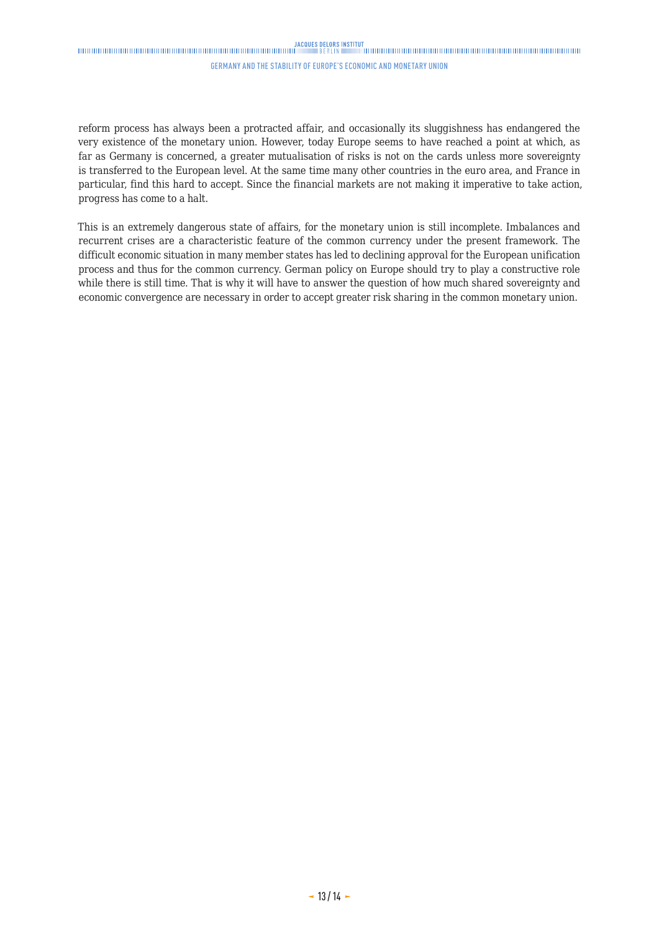## $\textbf{JACQUS}\xspace{\textbf{DEQRS}}\xspace{\textbf{NEQRS}}\xspace{\textbf{NEUTTU}}\xspace{\textbf{INHT}}\xspace{\textbf{INHT}}\xspace{\textbf{INHT}}\xspace{\textbf{INHT}}\xspace{\textbf{INHT}}\xspace{\textbf{INHT}}\xspace{\textbf{INHT}}\xspace{\textbf{INHT}}\xspace{\textbf{INHT}}\xspace{\textbf{INHT}}\xspace{\textbf{INHT}}\xspace{\textbf{INHT}}\xspace{\textbf{INHT}}\xspace{\textbf{INHT}}\xspace{\textbf{INHT}}\xspace{\textbf{INHT}}\xspace{\textbf{INHT}}\xspace{\textbf{IN$

#### Germany and the stability of Europe's Economic and Monetary Union

reform process has always been a protracted affair, and occasionally its sluggishness has endangered the very existence of the monetary union. However, today Europe seems to have reached a point at which, as far as Germany is concerned, a greater mutualisation of risks is not on the cards unless more sovereignty is transferred to the European level. At the same time many other countries in the euro area, and France in particular, find this hard to accept. Since the financial markets are not making it imperative to take action, progress has come to a halt.

This is an extremely dangerous state of affairs, for the monetary union is still incomplete. Imbalances and recurrent crises are a characteristic feature of the common currency under the present framework. The difficult economic situation in many member states has led to declining approval for the European unification process and thus for the common currency. German policy on Europe should try to play a constructive role while there is still time. That is why it will have to answer the question of how much shared sovereignty and economic convergence are necessary in order to accept greater risk sharing in the common monetary union.